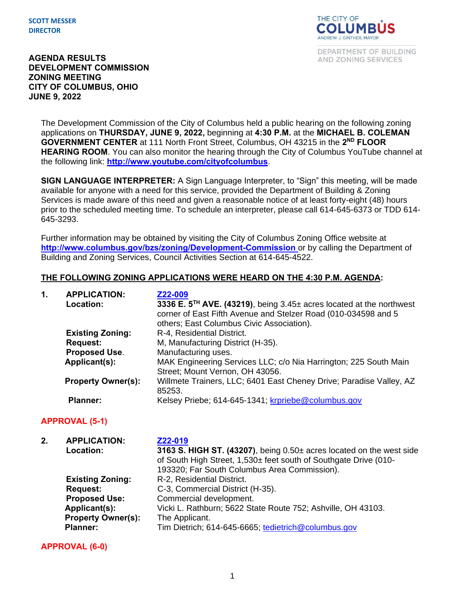**SCOTT MESSER DIRECTOR**



DEPARTMENT OF BUILDING AND ZONING SERVICES

### **AGENDA RESULTS DEVELOPMENT COMMISSION ZONING MEETING CITY OF COLUMBUS, OHIO JUNE 9, 2022**

The Development Commission of the City of Columbus held a public hearing on the following zoning applications on **THURSDAY, JUNE 9, 2022,** beginning at **4:30 P.M.** at the **MICHAEL B. COLEMAN**  GOVERNMENT CENTER at 111 North Front Street, Columbus, OH 43215 in the 2<sup>ND</sup> FLOOR **HEARING ROOM**. You can also monitor the hearing through the City of Columbus YouTube channel at the following link: **<http://www.youtube.com/cityofcolumbus>**.

**SIGN LANGUAGE INTERPRETER:** A Sign Language Interpreter, to "Sign" this meeting, will be made available for anyone with a need for this service, provided the Department of Building & Zoning Services is made aware of this need and given a reasonable notice of at least forty-eight (48) hours prior to the scheduled meeting time. To schedule an interpreter, please call 614-645-6373 or TDD 614- 645-3293.

Further information may be obtained by visiting the City of Columbus Zoning Office website at **http://www.columbus.gov/bzs/zoning/Development-Commission** or by calling the Department of Building and Zoning Services, Council Activities Section at 614-645-4522.

#### **THE FOLLOWING ZONING APPLICATIONS WERE HEARD ON THE 4:30 P.M. AGENDA:**

| 1. | <b>APPLICATION:</b><br>Location: | Z22-009<br>3336 E. 5 <sup>TH</sup> AVE. (43219), being 3.45± acres located at the northwest<br>corner of East Fifth Avenue and Stelzer Road (010-034598 and 5<br>others; East Columbus Civic Association). |
|----|----------------------------------|------------------------------------------------------------------------------------------------------------------------------------------------------------------------------------------------------------|
|    | <b>Existing Zoning:</b>          | R-4, Residential District.                                                                                                                                                                                 |
|    | <b>Request:</b>                  | M, Manufacturing District (H-35).                                                                                                                                                                          |
|    | Proposed Use.                    | Manufacturing uses.                                                                                                                                                                                        |
|    | Applicant(s):                    | MAK Engineering Services LLC; c/o Nia Harrington; 225 South Main<br>Street; Mount Vernon, OH 43056.                                                                                                        |
|    | <b>Property Owner(s):</b>        | Willmete Trainers, LLC; 6401 East Cheney Drive; Paradise Valley, AZ<br>85253.                                                                                                                              |
|    | <b>Planner:</b>                  | Kelsey Priebe; 614-645-1341; krpriebe@columbus.gov                                                                                                                                                         |

### **APPROVAL (5-1)**

| 2. | <b>APPLICATION:</b><br>Location:                                   | Z22-019<br>3163 S. HIGH ST. (43207), being 0.50± acres located on the west side<br>of South High Street, 1,530± feet south of Southgate Drive (010-<br>193320; Far South Columbus Area Commission). |
|----|--------------------------------------------------------------------|-----------------------------------------------------------------------------------------------------------------------------------------------------------------------------------------------------|
|    | <b>Existing Zoning:</b><br><b>Request:</b><br><b>Proposed Use:</b> | R-2, Residential District.<br>C-3, Commercial District (H-35).<br>Commercial development.                                                                                                           |
|    | Applicant(s):<br><b>Property Owner(s):</b><br><b>Planner:</b>      | Vicki L. Rathburn; 5622 State Route 752; Ashville, OH 43103.<br>The Applicant.<br>Tim Dietrich; 614-645-6665; tedietrich@columbus.gov                                                               |

**APPROVAL (6-0)**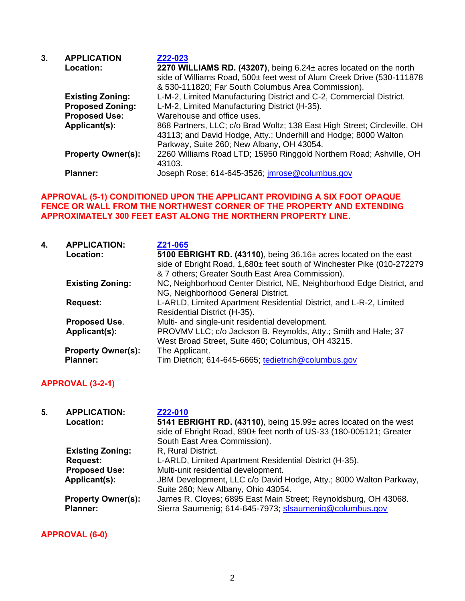| 3. | <b>APPLICATION</b>        | Z22-023                                                                  |
|----|---------------------------|--------------------------------------------------------------------------|
|    | Location:                 | 2270 WILLIAMS RD. (43207), being 6.24± acres located on the north        |
|    |                           | side of Williams Road, 500± feet west of Alum Creek Drive (530-111878    |
|    |                           | & 530-111820; Far South Columbus Area Commission).                       |
|    | <b>Existing Zoning:</b>   | L-M-2, Limited Manufacturing District and C-2, Commercial District.      |
|    | <b>Proposed Zoning:</b>   | L-M-2, Limited Manufacturing District (H-35).                            |
|    | <b>Proposed Use:</b>      | Warehouse and office uses.                                               |
|    | Applicant(s):             | 868 Partners, LLC; c/o Brad Woltz; 138 East High Street; Circleville, OH |
|    |                           | 43113; and David Hodge, Atty.; Underhill and Hodge; 8000 Walton          |
|    |                           | Parkway, Suite 260; New Albany, OH 43054.                                |
|    | <b>Property Owner(s):</b> | 2260 Williams Road LTD; 15950 Ringgold Northern Road; Ashville, OH       |
|    |                           | 43103.                                                                   |
|    | <b>Planner:</b>           | Joseph Rose; 614-645-3526; <i>imrose@columbus.gov</i>                    |

### **APPROVAL (5-1) CONDITIONED UPON THE APPLICANT PROVIDING A SIX FOOT OPAQUE FENCE OR WALL FROM THE NORTHWEST CORNER OF THE PROPERTY AND EXTENDING APPROXIMATELY 300 FEET EAST ALONG THE NORTHERN PROPERTY LINE.**

| 4. | <b>APPLICATION:</b><br>Location: | Z21-065<br>5100 EBRIGHT RD. (43110), being 36.16± acres located on the east<br>side of Ebright Road, 1,680± feet south of Winchester Pike (010-272279<br>& 7 others; Greater South East Area Commission). |
|----|----------------------------------|-----------------------------------------------------------------------------------------------------------------------------------------------------------------------------------------------------------|
|    | <b>Existing Zoning:</b>          | NC, Neighborhood Center District, NE, Neighborhood Edge District, and<br>NG, Neighborhood General District.                                                                                               |
|    | <b>Request:</b>                  | L-ARLD, Limited Apartment Residential District, and L-R-2, Limited<br>Residential District (H-35).                                                                                                        |
|    | <b>Proposed Use.</b>             | Multi- and single-unit residential development.                                                                                                                                                           |
|    | Applicant(s):                    | PROVMV LLC; c/o Jackson B. Reynolds, Atty.; Smith and Hale; 37<br>West Broad Street, Suite 460; Columbus, OH 43215.                                                                                       |
|    | <b>Property Owner(s):</b>        | The Applicant.                                                                                                                                                                                            |
|    | <b>Planner:</b>                  | Tim Dietrich; 614-645-6665; tedietrich@columbus.gov                                                                                                                                                       |

# **APPROVAL (3-2-1)**

| 5. | <b>APPLICATION:</b><br>Location:             | Z22-010<br>5141 EBRIGHT RD. (43110), being 15.99± acres located on the west<br>side of Ebright Road, 890± feet north of US-33 (180-005121; Greater<br>South East Area Commission). |
|----|----------------------------------------------|------------------------------------------------------------------------------------------------------------------------------------------------------------------------------------|
|    | <b>Existing Zoning:</b>                      | R, Rural District.                                                                                                                                                                 |
|    | <b>Request:</b>                              | L-ARLD, Limited Apartment Residential District (H-35).                                                                                                                             |
|    | <b>Proposed Use:</b>                         | Multi-unit residential development.                                                                                                                                                |
|    | Applicant(s):                                | JBM Development, LLC c/o David Hodge, Atty.; 8000 Walton Parkway,<br>Suite 260; New Albany, Ohio 43054.                                                                            |
|    | <b>Property Owner(s):</b><br><b>Planner:</b> | James R. Cloyes; 6895 East Main Street; Reynoldsburg, OH 43068.<br>Sierra Saumenig; 614-645-7973; slsaumenig@columbus.gov                                                          |

**APPROVAL (6-0)**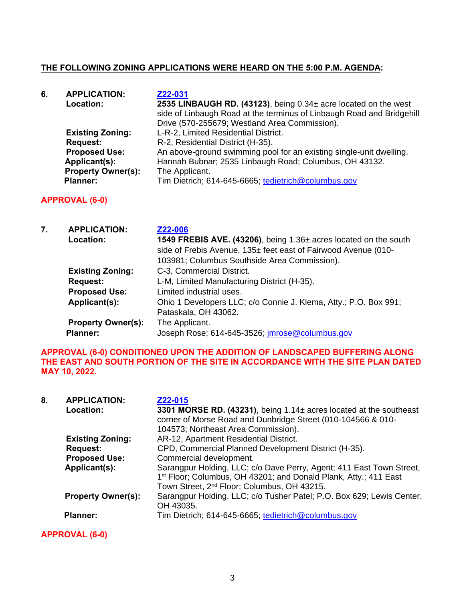# **THE FOLLOWING ZONING APPLICATIONS WERE HEARD ON THE 5:00 P.M. AGENDA:**

| 6. | <b>APPLICATION:</b>       | Z22-031                                                               |
|----|---------------------------|-----------------------------------------------------------------------|
|    | Location:                 | 2535 LINBAUGH RD. (43123), being 0.34± acre located on the west       |
|    |                           | side of Linbaugh Road at the terminus of Linbaugh Road and Bridgehill |
|    |                           | Drive (570-255679; Westland Area Commission).                         |
|    | <b>Existing Zoning:</b>   | L-R-2, Limited Residential District.                                  |
|    | <b>Request:</b>           | R-2, Residential District (H-35).                                     |
|    | <b>Proposed Use:</b>      | An above-ground swimming pool for an existing single-unit dwelling.   |
|    | Applicant(s):             | Hannah Bubnar; 2535 Linbaugh Road; Columbus, OH 43132.                |
|    | <b>Property Owner(s):</b> | The Applicant.                                                        |
|    | <b>Planner:</b>           | Tim Dietrich; 614-645-6665; tedietrich@columbus.gov                   |

# **APPROVAL (6-0)**

| 7. | <b>APPLICATION:</b>       | Z22-006                                                          |
|----|---------------------------|------------------------------------------------------------------|
|    | Location:                 | 1549 FREBIS AVE. (43206), being 1.36± acres located on the south |
|    |                           | side of Frebis Avenue, 135± feet east of Fairwood Avenue (010-   |
|    |                           | 103981; Columbus Southside Area Commission).                     |
|    | <b>Existing Zoning:</b>   | C-3, Commercial District.                                        |
|    | <b>Request:</b>           | L-M, Limited Manufacturing District (H-35).                      |
|    | <b>Proposed Use:</b>      | Limited industrial uses.                                         |
|    | Applicant(s):             | Ohio 1 Developers LLC; c/o Connie J. Klema, Atty.; P.O. Box 991; |
|    |                           | Pataskala, OH 43062.                                             |
|    | <b>Property Owner(s):</b> | The Applicant.                                                   |
|    | <b>Planner:</b>           | Joseph Rose; 614-645-3526; <i>imrose@columbus.gov</i>            |

#### **APPROVAL (6-0) CONDITIONED UPON THE ADDITION OF LANDSCAPED BUFFERING ALONG THE EAST AND SOUTH PORTION OF THE SITE IN ACCORDANCE WITH THE SITE PLAN DATED MAY 10, 2022.**

| 8. | <b>APPLICATION:</b><br>Location: | Z22-015<br>3301 MORSE RD. (43231), being $1.14\pm$ acres located at the southeast<br>corner of Morse Road and Dunbridge Street (010-104566 & 010-<br>104573; Northeast Area Commission).                        |
|----|----------------------------------|-----------------------------------------------------------------------------------------------------------------------------------------------------------------------------------------------------------------|
|    | <b>Existing Zoning:</b>          | AR-12, Apartment Residential District.                                                                                                                                                                          |
|    | <b>Request:</b>                  | CPD, Commercial Planned Development District (H-35).                                                                                                                                                            |
|    | <b>Proposed Use:</b>             | Commercial development.                                                                                                                                                                                         |
|    | Applicant(s):                    | Sarangpur Holding, LLC; c/o Dave Perry, Agent; 411 East Town Street,<br>1 <sup>st</sup> Floor; Columbus, OH 43201; and Donald Plank, Atty.; 411 East<br>Town Street, 2 <sup>nd</sup> Floor; Columbus, OH 43215. |
|    | <b>Property Owner(s):</b>        | Sarangpur Holding, LLC; c/o Tusher Patel; P.O. Box 629; Lewis Center,<br>OH 43035.                                                                                                                              |
|    | <b>Planner:</b>                  | Tim Dietrich; 614-645-6665, tedietrich@columbus.gov                                                                                                                                                             |

**APPROVAL (6-0)**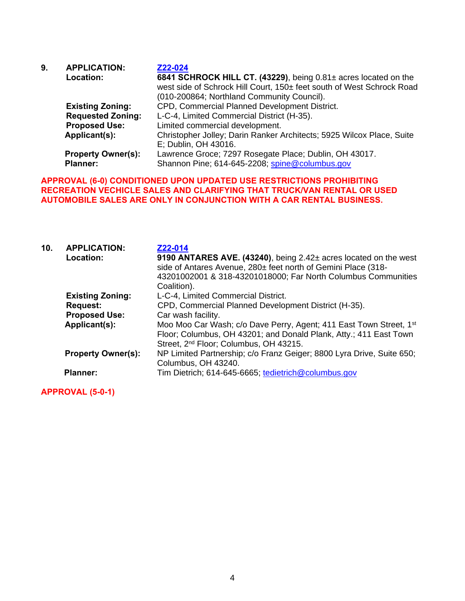| 9. | <b>APPLICATION:</b>       | Z22-024                                                               |
|----|---------------------------|-----------------------------------------------------------------------|
|    | Location:                 | 6841 SCHROCK HILL CT. (43229), being 0.81± acres located on the       |
|    |                           | west side of Schrock Hill Court, 150± feet south of West Schrock Road |
|    |                           | (010-200864; Northland Community Council).                            |
|    | <b>Existing Zoning:</b>   | CPD, Commercial Planned Development District.                         |
|    | <b>Requested Zoning:</b>  | L-C-4, Limited Commercial District (H-35).                            |
|    | <b>Proposed Use:</b>      | Limited commercial development.                                       |
|    | Applicant(s):             | Christopher Jolley; Darin Ranker Architects; 5925 Wilcox Place, Suite |
|    |                           | E; Dublin, OH 43016.                                                  |
|    | <b>Property Owner(s):</b> | Lawrence Groce; 7297 Rosegate Place; Dublin, OH 43017.                |
|    | <b>Planner:</b>           | Shannon Pine; 614-645-2208; spine@columbus.gov                        |

## **APPROVAL (6-0) CONDITIONED UPON UPDATED USE RESTRICTIONS PROHIBITING RECREATION VECHICLE SALES AND CLARIFYING THAT TRUCK/VAN RENTAL OR USED AUTOMOBILE SALES ARE ONLY IN CONJUNCTION WITH A CAR RENTAL BUSINESS.**

| 10 <sub>1</sub> | <b>APPLICATION:</b><br>Location: | Z22-014<br>9190 ANTARES AVE. (43240), being 2.42± acres located on the west<br>side of Antares Avenue, 280± feet north of Gemini Place (318-<br>43201002001 & 318-43201018000; Far North Columbus Communities<br>Coalition). |
|-----------------|----------------------------------|------------------------------------------------------------------------------------------------------------------------------------------------------------------------------------------------------------------------------|
|                 | <b>Existing Zoning:</b>          | L-C-4, Limited Commercial District.                                                                                                                                                                                          |
|                 | <b>Request:</b>                  | CPD, Commercial Planned Development District (H-35).                                                                                                                                                                         |
|                 | <b>Proposed Use:</b>             | Car wash facility.                                                                                                                                                                                                           |
|                 | Applicant(s):                    | Moo Moo Car Wash; c/o Dave Perry, Agent; 411 East Town Street, 1 <sup>st</sup><br>Floor; Columbus, OH 43201; and Donald Plank, Atty.; 411 East Town<br>Street, 2 <sup>nd</sup> Floor; Columbus, OH 43215.                    |
|                 | <b>Property Owner(s):</b>        | NP Limited Partnership; c/o Franz Geiger; 8800 Lyra Drive, Suite 650;<br>Columbus, OH 43240.                                                                                                                                 |
|                 | <b>Planner:</b>                  | Tim Dietrich; 614-645-6665, tedietrich@columbus.gov                                                                                                                                                                          |

**APPROVAL (5-0-1)**